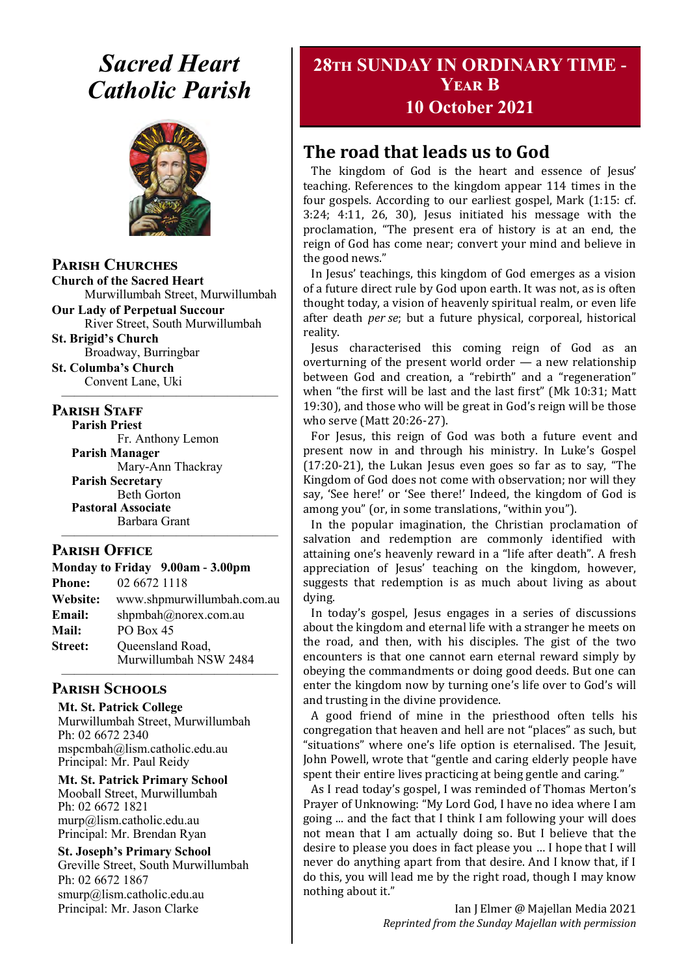# *Sacred Heart Catholic Parish*



**Parish Churches**

**Church of the Sacred Heart** Murwillumbah Street, Murwillumbah

**Our Lady of Perpetual Succour** River Street, South Murwillumbah

**St. Brigid's Church** Broadway, Burringbar

**St. Columba's Church** Convent Lane, Uki —————————————————

#### **PARISH STAFF**

**Parish Priest** Fr. Anthony Lemon

**Parish Manager** Mary-Ann Thackray **Parish Secretary** Beth Gorton **Pastoral Associate** Barbara Grant

#### **Parish Office**

**Monday to Friday 9.00am - 3.00pm Phone:** 02 6672 1118 **Website:** www.shpmurwillumbah.com.au **Email:** shpmbah@norex.com.au **Mail:** PO Box 45 **Street:** Oueensland Road, Murwillumbah NSW 2484 —————————————————

—————————————————

#### **Parish Schools**

**Mt. St. Patrick College** Murwillumbah Street, Murwillumbah Ph: 02 6672 2340 mspcmbah@lism.catholic.edu.au Principal: Mr. Paul Reidy

**Mt. St. Patrick Primary School** Mooball Street, Murwillumbah Ph: 02 6672 1821 murp@lism.catholic.edu.au Principal: Mr. Brendan Ryan

**St. Joseph's Primary School** Greville Street, South Murwillumbah Ph: 02 6672 1867 smurp@lism.catholic.edu.au Principal: Mr. Jason Clarke

# **28th SUNDAY IN ORDINARY TIME - Year B**

**10 October 2021**

# **The road that leads us to God**

The kingdom of God is the heart and essence of Jesus' teaching. References to the kingdom appear 114 times in the four gospels. According to our earliest gospel, Mark (1:15: cf. 3:24; 4:11, 26, 30), Jesus initiated his message with the proclamation, "The present era of history is at an end, the reign of God has come near; convert your mind and believe in the good news."

In Jesus' teachings, this kingdom of God emerges as a vision of a future direct rule by God upon earth. It was not, as is often thought today, a vision of heavenly spiritual realm, or even life after death *per se*; but a future physical, corporeal, historical reality.

Jesus characterised this coming reign of God as an overturning of the present world order — a new relationship between God and creation, a "rebirth" and a "regeneration" when "the first will be last and the last first" (Mk 10:31; Matt 19:30), and those who will be great in God's reign will be those who serve (Matt 20:26-27).

For Jesus, this reign of God was both a future event and present now in and through his ministry. In Luke's Gospel (17:20-21), the Lukan Jesus even goes so far as to say, "The Kingdom of God does not come with observation; nor will they say, 'See here!' or 'See there!' Indeed, the kingdom of God is among you" (or, in some translations, "within you").

In the popular imagination, the Christian proclamation of salvation and redemption are commonly identified with attaining one's heavenly reward in a "life after death". A fresh appreciation of Jesus' teaching on the kingdom, however, suggests that redemption is as much about living as about dying.

In today's gospel, Jesus engages in a series of discussions about the kingdom and eternal life with a stranger he meets on the road, and then, with his disciples. The gist of the two encounters is that one cannot earn eternal reward simply by obeying the commandments or doing good deeds. But one can enter the kingdom now by turning one's life over to God's will and trusting in the divine providence.

A good friend of mine in the priesthood often tells his congregation that heaven and hell are not "places" as such, but "situations" where one's life option is eternalised. The Jesuit, John Powell, wrote that "gentle and caring elderly people have spent their entire lives practicing at being gentle and caring."

As I read today's gospel, I was reminded of Thomas Merton's Prayer of Unknowing: "My Lord God, I have no idea where I am going ... and the fact that I think I am following your will does not mean that I am actually doing so. But I believe that the desire to please you does in fact please you … I hope that I will never do anything apart from that desire. And I know that, if I do this, you will lead me by the right road, though I may know nothing about it."

> Ian J Elmer @ Majellan Media 2021 *Reprinted from the Sunday Majellan with permission*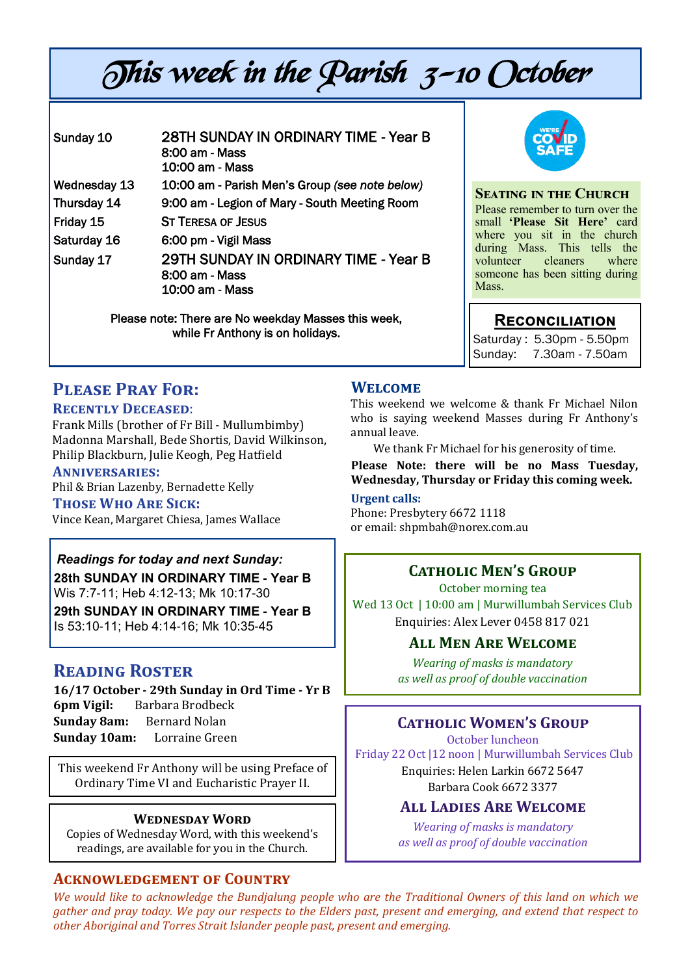# This week in the Parish 3-10 October

| Sunday 10                                           | 28TH SUNDAY IN ORDINARY TIME - Year B<br>8:00 am - Mass<br>10:00 am - Mass |
|-----------------------------------------------------|----------------------------------------------------------------------------|
| Wednesday 13                                        | 10:00 am - Parish Men's Group (see note below)                             |
| Thursday 14                                         | 9:00 am - Legion of Mary - South Meeting Room                              |
| Friday 15                                           | <b>ST TERESA OF JESUS</b>                                                  |
| Saturday 16                                         | 6:00 pm - Vigil Mass                                                       |
| Sunday 17                                           | 29TH SUNDAY IN ORDINARY TIME - Year B<br>8:00 am - Mass<br>10:00 am - Mass |
| Please note: There are No weekday Masses this week, |                                                                            |

while Fr Anthony is on holidays.



#### **Seating in the Church** Please remember to turn over the small **'Please Sit Here'** card where you sit in the church during Mass. This tells the volunteer cleaners where someone has been sitting during Mass.

## **Reconciliation**

Saturday : 5.30pm - 5.50pm Sunday: 7.30am - 7.50am

# **Please Pray For:**

#### **Recently Deceased**:

Frank Mills (brother of Fr Bill - Mullumbimby) Madonna Marshall, Bede Shortis, David Wilkinson, Philip Blackburn, Julie Keogh, Peg Hatfield

#### **Anniversaries:**

Phil & Brian Lazenby, Bernadette Kelly

#### **Those Who Are Sick:**

Vince Kean, Margaret Chiesa, James Wallace

# *Readings for today and next Sunday:*  **28th SUNDAY IN ORDINARY TIME - Year B**

Wis 7:7-11; Heb 4:12-13; Mk 10:17-30

**29th SUNDAY IN ORDINARY TIME - Year B**  Is 53:10-11; Heb 4:14-16; Mk 10:35-45

## **Reading Roster**

**16/17 October - 29th Sunday in Ord Time - Yr B 6pm Vigil:** Barbara Brodbeck **Sunday 8am:** Bernard Nolan **Sunday 10am:** Lorraine Green

This weekend Fr Anthony will be using Preface of Ordinary Time VI and Eucharistic Prayer II.

#### **Wednesday Word**

Copies of Wednesday Word, with this weekend's readings, are available for you in the Church.

#### **Acknowledgement of Country**

**Welcome** This weekend we welcome & thank Fr Michael Nilon who is saying weekend Masses during Fr Anthony's annual leave.

We thank Fr Michael for his generosity of time.

**Please Note: there will be no Mass Tuesday, Wednesday, Thursday or Friday this coming week.** 

# **Urgent calls:**

Phone: Presbytery 6672 1118 or email: shpmbah@norex.com.au

# **Catholic Men's Group**

October morning tea Wed 13 Oct | 10:00 am | Murwillumbah Services Club Enquiries: Alex Lever 0458 817 021

#### **All Men Are Welcome**

*Wearing of masks is mandatory as well as proof of double vaccination*

## **Catholic Women's Group**

October luncheon Friday 22 Oct |12 noon | Murwillumbah Services Club Enquiries: Helen Larkin 6672 5647 Barbara Cook 6672 3377

#### **All Ladies Are Welcome**

*Wearing of masks is mandatory as well as proof of double vaccination*

*We would like to acknowledge the Bundjalung people who are the Traditional Owners of this land on which we gather and pray today. We pay our respects to the Elders past, present and emerging, and extend that respect to other Aboriginal and Torres Strait Islander people past, present and emerging.*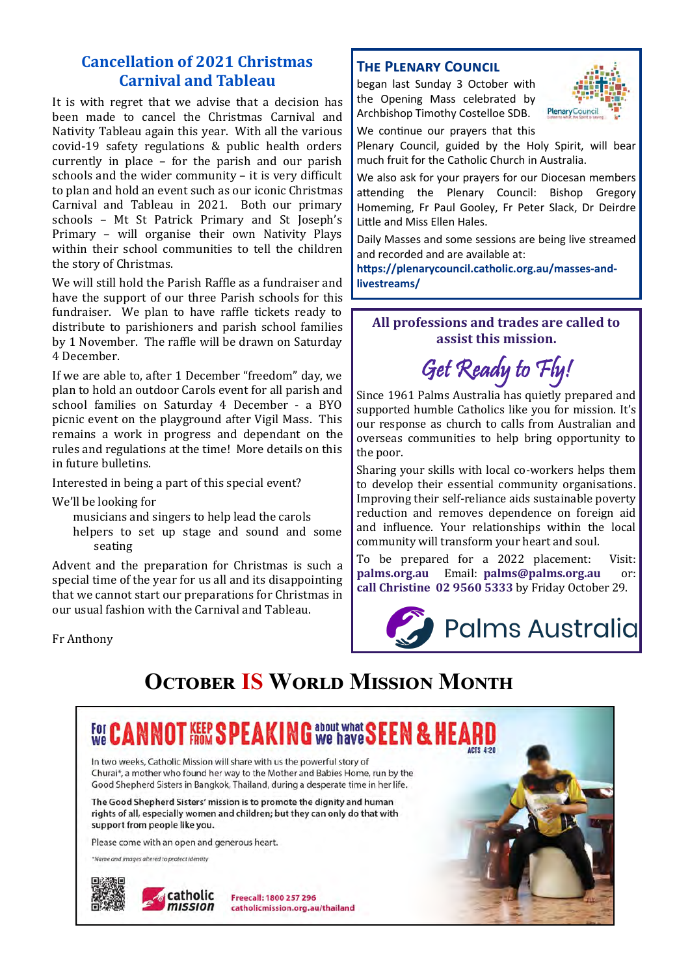## **Cancellation of 2021 Christmas Carnival and Tableau**

It is with regret that we advise that a decision has been made to cancel the Christmas Carnival and Nativity Tableau again this year. With all the various covid-19 safety regulations & public health orders currently in place – for the parish and our parish schools and the wider community – it is very difficult to plan and hold an event such as our iconic Christmas Carnival and Tableau in 2021. Both our primary schools – Mt St Patrick Primary and St Joseph's Primary – will organise their own Nativity Plays within their school communities to tell the children the story of Christmas.

We will still hold the Parish Raffle as a fundraiser and have the support of our three Parish schools for this fundraiser. We plan to have raffle tickets ready to distribute to parishioners and parish school families by 1 November. The raffle will be drawn on Saturday 4 December.

If we are able to, after 1 December "freedom" day, we plan to hold an outdoor Carols event for all parish and school families on Saturday 4 December - a BYO picnic event on the playground after Vigil Mass. This remains a work in progress and dependant on the rules and regulations at the time! More details on this in future bulletins.

Interested in being a part of this special event?

We'll be looking for

musicians and singers to help lead the carols

helpers to set up stage and sound and some seating

Advent and the preparation for Christmas is such a special time of the year for us all and its disappointing that we cannot start our preparations for Christmas in our usual fashion with the Carnival and Tableau.

Fr Anthony

#### **The Plenary Council**

began last Sunday 3 October with the Opening Mass celebrated by Archbishop Timothy Costelloe SDB.



We continue our prayers that this

Plenary Council, guided by the Holy Spirit, will bear much fruit for the Catholic Church in Australia.

We also ask for your prayers for our Diocesan members attending the Plenary Council: Bishop Gregory Homeming, Fr Paul Gooley, Fr Peter Slack, Dr Deirdre Little and Miss Ellen Hales.

Daily Masses and some sessions are being live streamed and recorded and are available at:

**https://plenarycouncil.catholic.org.au/masses-andlivestreams/** 

#### **All professions and trades are called to assist this mission.**



Since 1961 Palms Australia has quietly prepared and supported humble Catholics like you for mission. It's our response as church to calls from Australian and overseas communities to help bring opportunity to the poor.

Sharing your skills with local co-workers helps them to develop their essential community organisations. Improving their self-reliance aids sustainable poverty reduction and removes dependence on foreign aid and influence. Your relationships within the local community will transform your heart and soul.

To be prepared for a 2022 placement: Visit: **palms.org.au** Email: **palms@palms.org.au** or: **call Christine 02 9560 5333** by Friday October 29.



# **OCTOBER IS WORLD MISSION MONTH**